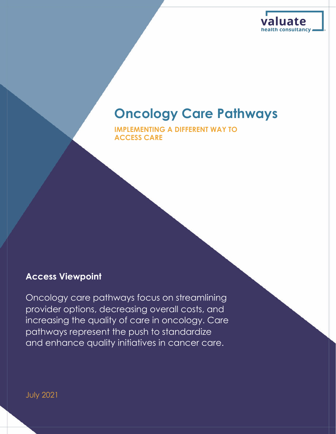

### **Oncology Care Pathways**

**IMPLEMENTING A DIFFERENT WAY TO ACCESS CARE**

### **Access Viewpoint**

Oncology care pathways focus on streamlining provider options, decreasing overall costs, and increasing the quality of care in oncology. Care pathways represent the push to standardize and enhance quality initiatives in cancer care.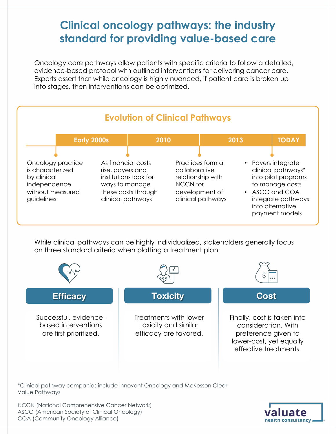### **Clinical oncology pathways: the industry standard for providing value-based care**

Oncology care pathways allow patients with specific criteria to follow a detailed, evidence-based protocol with outlined interventions for delivering cancer care. Experts assert that while oncology is highly nuanced, if patient care is broken up into stages, then interventions can be optimized.



While clinical pathways can be highly individualized, stakeholders generally focus on three standard criteria when plotting a treatment plan:



\*Clinical pathway companies include Innovent Oncology and McKesson Clear Value Pathways

NCCN (National Comprehensive Cancer Network) ASCO (American Society of Clinical Oncology) COA (Community Oncology Alliance)

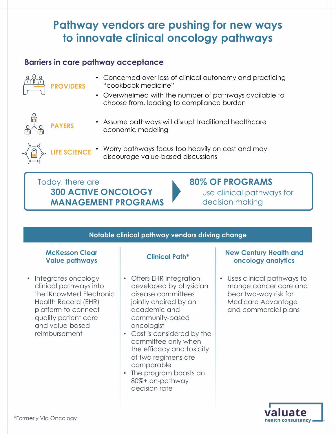### **Pathway vendors are pushing for new ways to innovate clinical oncology pathways**

### **Barriers in care pathway acceptance**



**PAYERS**

**LIFE SCIENCE**

- Concerned over loss of clinical autonomy and practicing "cookbook medicine"
- Overwhelmed with the number of pathways available to choose from, leading to compliance burden



- Assume pathways will disrupt traditional healthcare economic modeling
- Worry pathways focus too heavily on cost and may discourage value-based discussions

Today, there are **300 ACTIVE ONCOLOGY MANAGEMENT PROGRAMS**

### **80% OF PROGRAMS**

use clinical pathways for decision making

### **Notable clinical pathway vendors driving change**

## **McKesson Clear**

• Integrates oncology clinical pathways into the IKnowMed Electronic Health Record (EHR) platform to connect quality patient care and value-based reimbursement

- Offers EHR integration developed by physician disease committees jointly chaired by an academic and community-based oncologist
- Cost is considered by the committee only when the efficacy and toxicity of two regimens are comparable
- The program boasts an 80%+ on-pathway decision rate

#### **Value pathways Clinical Path\* New Century Health and oncology analytics**

• Uses clinical pathways to mange cancer care and bear two-way risk for Medicare Advantage and commercial plans

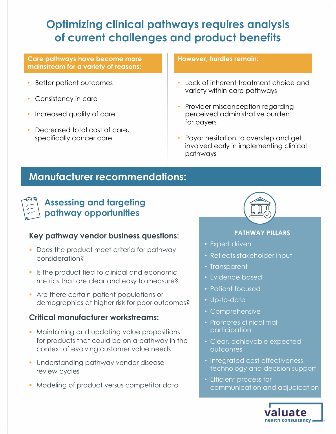### **Optimizing clinical pathways requires analysis of current challenges and product benefits**

#### **Care pathways have become more mainstream for a variety of reasons:**

- Better patient outcomes
- Consistency in care
- Increased quality of care
- Decreased total cost of care, specifically cancer care

#### **However, hurdles remain:**

- Lack of inherent treatment choice and variety within care pathways
- Provider misconception regarding perceived administrative burden for payers
- Payor hesitation to overstep and get involved early in implementing clinical pathways

### **Manufacturer recommendations:**



### **Assessing and targeting pathway opportunities**

### **Key pathway vendor business questions:**

- Does the product meet criteria for pathway consideration?
- Is the product tied to clinical and economic metrics that are clear and easy to measure?
- Are there certain patient populations or demographics at higher risk for poor outcomes?

### **Critical manufacturer workstreams:**

- Maintaining and updating value propositions for products that could be on a pathway in the context of evolving customer value needs
- § Understanding pathway vendor disease review cycles
- Modeling of product versus competitor data



### **PATHWAY PILLARS**

- Expert driven
- Reflects stakeholder input
- Transparent
- Evidence based
- Patient focused
- Up-to-date
- Comprehensive
- Promotes clinical trial participation
- Clear, achievable expected outcomes
- Integrated cost effectiveness technology and decision support
- Efficient process for communication and adjudication